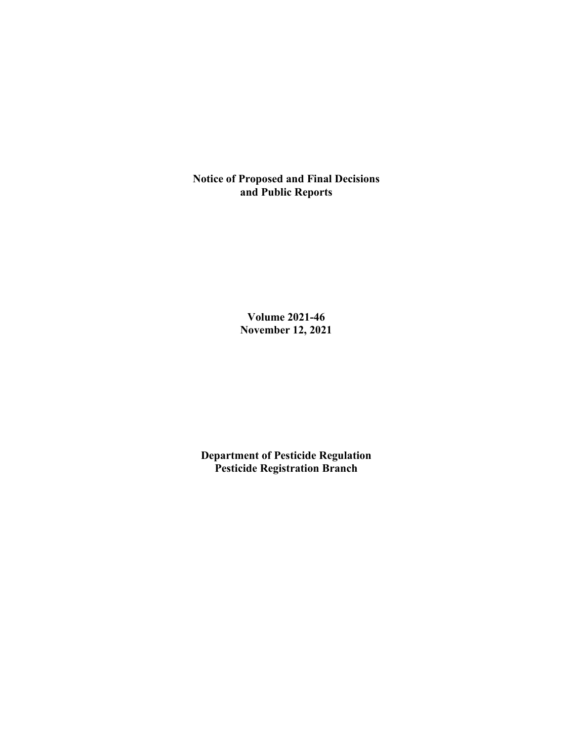**Notice of Proposed and Final Decisions and Public Reports**

> **Volume 2021-46 November 12, 2021**

**Department of Pesticide Regulation Pesticide Registration Branch**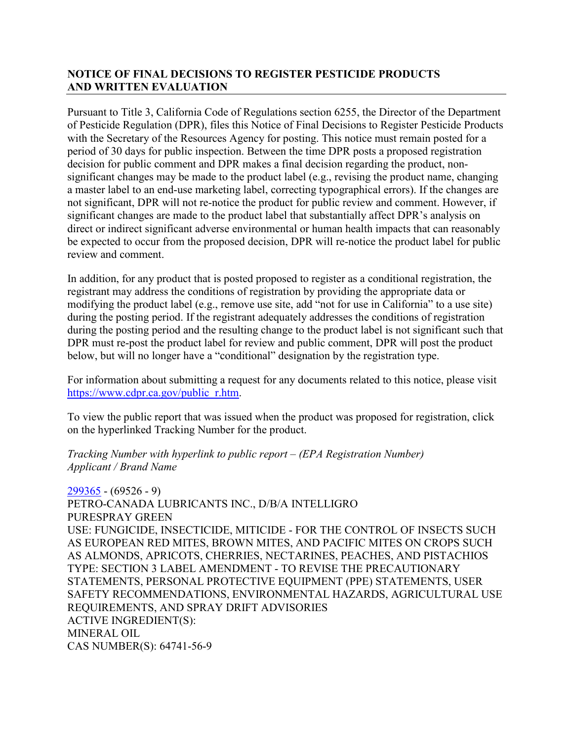# **NOTICE OF FINAL DECISIONS TO REGISTER PESTICIDE PRODUCTS AND WRITTEN EVALUATION**

Pursuant to Title 3, California Code of Regulations section 6255, the Director of the Department of Pesticide Regulation (DPR), files this Notice of Final Decisions to Register Pesticide Products with the Secretary of the Resources Agency for posting. This notice must remain posted for a period of 30 days for public inspection. Between the time DPR posts a proposed registration decision for public comment and DPR makes a final decision regarding the product, nonsignificant changes may be made to the product label (e.g., revising the product name, changing a master label to an end-use marketing label, correcting typographical errors). If the changes are not significant, DPR will not re-notice the product for public review and comment. However, if significant changes are made to the product label that substantially affect DPR's analysis on direct or indirect significant adverse environmental or human health impacts that can reasonably be expected to occur from the proposed decision, DPR will re-notice the product label for public review and comment.

In addition, for any product that is posted proposed to register as a conditional registration, the registrant may address the conditions of registration by providing the appropriate data or modifying the product label (e.g., remove use site, add "not for use in California" to a use site) during the posting period. If the registrant adequately addresses the conditions of registration during the posting period and the resulting change to the product label is not significant such that DPR must re-post the product label for review and public comment, DPR will post the product below, but will no longer have a "conditional" designation by the registration type.

For information about submitting a request for any documents related to this notice, please visit [https://www.cdpr.ca.gov/public\\_r.htm.](https://www.cdpr.ca.gov/public_r.htm)

To view the public report that was issued when the product was proposed for registration, click on the hyperlinked Tracking Number for the product.

#### *Tracking Number with hyperlink to public report – (EPA Registration Number) Applicant / Brand Name*

[299365](https://www.cdpr.ca.gov/docs/registration/nod/public_reports/299365.pdf) - (69526 - 9) PETRO-CANADA LUBRICANTS INC., D/B/A INTELLIGRO PURESPRAY GREEN USE: FUNGICIDE, INSECTICIDE, MITICIDE - FOR THE CONTROL OF INSECTS SUCH AS EUROPEAN RED MITES, BROWN MITES, AND PACIFIC MITES ON CROPS SUCH AS ALMONDS, APRICOTS, CHERRIES, NECTARINES, PEACHES, AND PISTACHIOS TYPE: SECTION 3 LABEL AMENDMENT - TO REVISE THE PRECAUTIONARY STATEMENTS, PERSONAL PROTECTIVE EQUIPMENT (PPE) STATEMENTS, USER SAFETY RECOMMENDATIONS, ENVIRONMENTAL HAZARDS, AGRICULTURAL USE REQUIREMENTS, AND SPRAY DRIFT ADVISORIES ACTIVE INGREDIENT(S): MINERAL OIL CAS NUMBER(S): 64741-56-9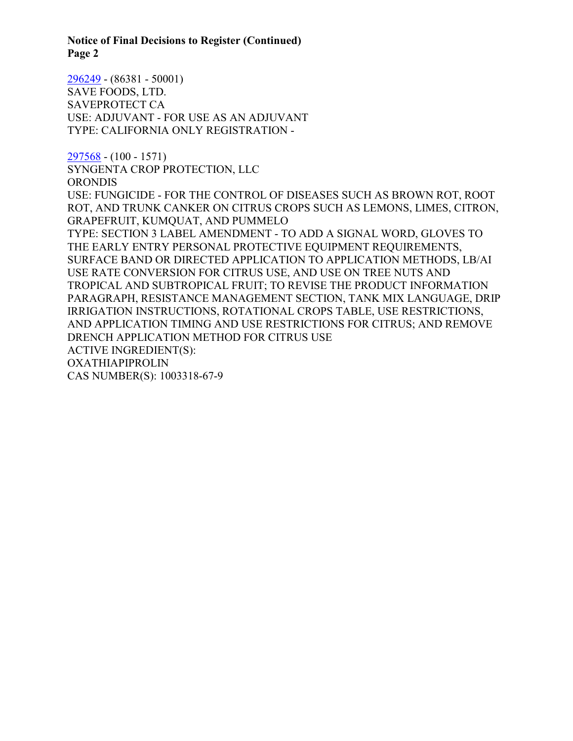**Notice of Final Decisions to Register (Continued) Page 2**

[296249](https://www.cdpr.ca.gov/docs/registration/nod/public_reports/296249.pdf) - (86381 - 50001) SAVE FOODS, LTD. SAVEPROTECT CA USE: ADJUVANT - FOR USE AS AN ADJUVANT TYPE: CALIFORNIA ONLY REGISTRATION -

[297568](https://www.cdpr.ca.gov/docs/registration/nod/public_reports/297568.pdf) - (100 - 1571) SYNGENTA CROP PROTECTION, LLC ORONDIS USE: FUNGICIDE - FOR THE CONTROL OF DISEASES SUCH AS BROWN ROT, ROOT ROT, AND TRUNK CANKER ON CITRUS CROPS SUCH AS LEMONS, LIMES, CITRON, GRAPEFRUIT, KUMQUAT, AND PUMMELO TYPE: SECTION 3 LABEL AMENDMENT - TO ADD A SIGNAL WORD, GLOVES TO THE EARLY ENTRY PERSONAL PROTECTIVE EQUIPMENT REQUIREMENTS, SURFACE BAND OR DIRECTED APPLICATION TO APPLICATION METHODS, LB/AI USE RATE CONVERSION FOR CITRUS USE, AND USE ON TREE NUTS AND TROPICAL AND SUBTROPICAL FRUIT; TO REVISE THE PRODUCT INFORMATION PARAGRAPH, RESISTANCE MANAGEMENT SECTION, TANK MIX LANGUAGE, DRIP IRRIGATION INSTRUCTIONS, ROTATIONAL CROPS TABLE, USE RESTRICTIONS, AND APPLICATION TIMING AND USE RESTRICTIONS FOR CITRUS; AND REMOVE DRENCH APPLICATION METHOD FOR CITRUS USE ACTIVE INGREDIENT(S): OXATHIAPIPROLIN CAS NUMBER(S): 1003318-67-9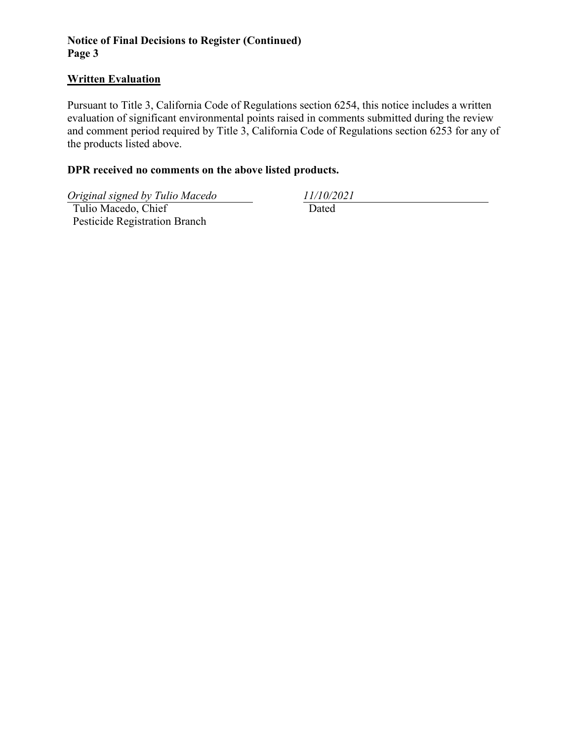# **Notice of Final Decisions to Register (Continued) Page 3**

### **Written Evaluation**

Pursuant to Title 3, California Code of Regulations section 6254, this notice includes a written evaluation of significant environmental points raised in comments submitted during the review and comment period required by Title 3, California Code of Regulations section 6253 for any of the products listed above.

# **DPR received no comments on the above listed products.**

*Original signed by Tulio Macedo 11/10/2021*

 Tulio Macedo, Chief Pesticide Registration Branch Dated